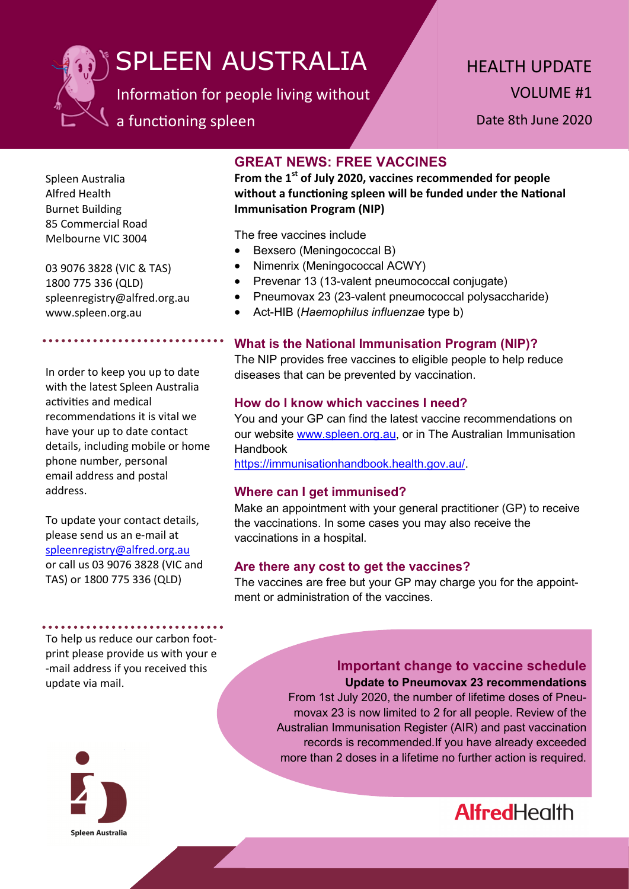

# SPLEEN AUSTRALIA

Information for people living without

## a functioning spleen

HEALTH UPDATE VOLUME #1

Date 8th June 2020

Spleen Australia Alfred Health Burnet Building 85 Commercial Road Melbourne VIC 3004

03 9076 3828 (VIC & TAS) 1800 775 336 (QLD) spleenregistry@alfred.org.au www.spleen.org.au

In order to keep you up to date with the latest Spleen Australia activities and medical recommendations it is vital we have your up to date contact details, including mobile or home phone number, personal email address and postal address.

To update your contact details, please send us an e-mail at [spleenregistry@alfred.org.au](mailto:spleenregistry@alfred.org.au) or call us 03 9076 3828 (VIC and TAS) or 1800 775 336 (QLD)

\*\*\*\*\*\*\*\*\*\*\*\*\*\*\*\*\*\*\*\*\*

To help us reduce our carbon footprint please provide us with your e -mail address if you received this update via mail.



### **GREAT NEWS: FREE VACCINES**

**From the 1st of July 2020, vaccines recommended for people without a functioning spleen will be funded under the National Immunisation Program (NIP)**

The free vaccines include

- Bexsero (Meningococcal B)
- Nimenrix (Meningococcal ACWY)
- Prevenar 13 (13-valent pneumococcal conjugate)
- Pneumovax 23 (23-valent pneumococcal polysaccharide)
- Act-HIB (*Haemophilus influenzae* type b)

#### **What is the National Immunisation Program (NIP)?**

The NIP provides free vaccines to eligible people to help reduce diseases that can be prevented by vaccination.

#### **How do I know which vaccines I need?**

You and your GP can find the latest vaccine recommendations on our website [www.spleen.org.au,](http://www.spleen.org.au) or in The Australian Immunisation Handbook

https://immunisationhandbook.health.gov.au/.

#### **Where can I get immunised?**

Make an appointment with your general practitioner (GP) to receive the vaccinations. In some cases you may also receive the vaccinations in a hospital.

#### **Are there any cost to get the vaccines?**

The vaccines are free but your GP may charge you for the appointment or administration of the vaccines.

> **Important change to vaccine schedule Update to Pneumovax 23 recommendations** From 1st July 2020, the number of lifetime doses of Pneu-

movax 23 is now limited to 2 for all people. Review of the Australian Immunisation Register (AIR) and past vaccination records is recommended.If you have already exceeded more than 2 doses in a lifetime no further action is required.